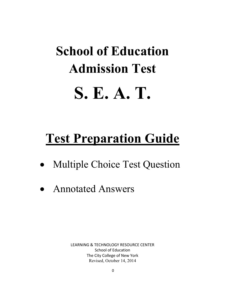# **School of Education Admission Test S. E. A. T.**

# **Test Preparation Guide**

- Multiple Choice Test Question
- Annotated Answers

LEARNING & TECHNOLOGY RESOURCE CENTER School of Education The City College of New York Revised, October 14, 2014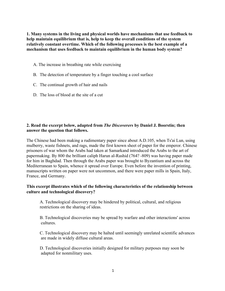**1. Many systems in the living and physical worlds have mechanisms that use feedback to help maintain equilibrium that is, help to keep the overall conditions of the system relatively constant overtime. Which of the following processes is the best example of a mechanism that uses feedback to maintain equilibrium in the human body system?**

- A. The increase in breathing rate while exercising
- B. The detection of temperature by a finger touching a cool surface
- C. The continual growth of hair and nails
- D. The loss of blood at the site of a cut

# **2. Read the excerpt below, adapted from** *The Discoverers* **by Daniel J. Boorstin; then answer the question that follows.**

The Chinese had been making a rudimentary paper since about A.D.105, when Ts'ai Lun, using mulberry, waste fishnets, and rags, made the first known sheet of paper for the emperor. Chinese prisoners of war whom the Arabs had taken at Samarkand introduced the Arabs to the art of papermaking. By 800 the brilliant caliph Harun al-Rashid (764? -809) was having paper made for him in Baghdad. Then through the Arabs paper was brought to Byzantium and across the Mediterranean to Spain, whence it spread over Europe. Even before the invention of printing, manuscripts written on paper were not uncommon, and there were paper mills in Spain, Italy, France, and Germany.

# **This excerpt illustrates which of the following characteristics of the relationship between culture and technological discovery?**

A. Technological discovery may be hindered by political, cultural, and religious restrictions on the sharing of ideas.

B. Technological discoveries may be spread by warfare and other interactions' across cultures.

C. Technological discovery may be halted until seemingly unrelated scientific advances are made in widely diffuse cultural areas.

D. Technological discoveries initially designed for military purposes may soon be adapted for nonmilitary uses.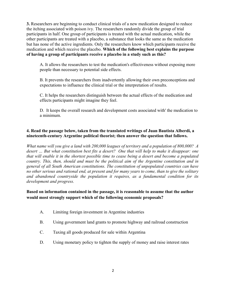**3.** Researchers are beginning to conduct clinical trials of a new medication designed to reduce the itching associated with poison ivy. The researchers randomly divide the group of trial participants in half. One group of participants is treated with the actual medication, while the other participants are treated with a placebo, a substance that looks the same as the medication but has none of the active ingredients. Only the researchers know which participants receive the medication and which receive the placebo. **Which of the following best explains the purpose of having a group of participants receive a placebo in a study such as this?**

A. It allows the researchers to test the medication's effectiveness without exposing more people than necessary to potential side effects.

B. It prevents the researchers from inadvertently allowing their own preconceptions and expectations to influence the clinical trial or the interpretation of results.

C. It helps the researchers distinguish between the actual effects of the medication and effects participants might imagine they feel.

D. It keeps the overall research and development costs associated with' the medication to a minimum.

# **4. Read the passage below, taken from the translated writings of Juan Bautista Alberdi, a nineteenth-century Argentine political theorist; then answer the question that follows.**

*What name will you give a land with 200,000 leagues of territory and a population of 800,000? A desert … But what constitution best fits a desert? One that will help to make it disappear: one that will enable it in the shortest possible time to cease being a desert and become a populated country. This, then, should and must be the political aim of the Argentine constitution and in general of all South American constitutions. The constitution of unpopulated countries can have no other serious and rational end, at present and for many years to come, than to give the solitary and abandoned countryside the population it requires, as a fundamental condition for its development and progress.* 

# **Based on information contained in the passage, it is reasonable to assume that the author would most strongly support which of the following economic proposals?**

- A. Limiting foreign investment in Argentine industries
- B. Using government land grants to promote highway and railroad construction
- C. Taxing all goods produced for sale within Argentina
- D. Using monetary policy to tighten the supply of money and raise interest rates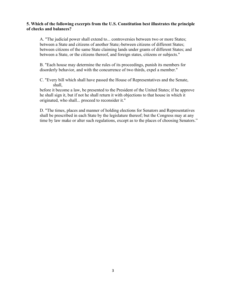# **5. Which of the following excerpts from the U.S. Constitution best illustrates the principle of checks and balances?**

A. "The judicial power shall extend to... controversies between two or more States; between a State and citizens of another State;-between citizens of different States; between citizens of the same State claiming lands under grants of different States; and between a State, or the citizens thereof, and foreign states, citizens or subjects."

B. "Each house may determine the rules of its proceedings, punish its members for disorderly behavior, and with the concurrence of two thirds, expel a member."

C. "Every bill which shall have passed the House of Representatives and the Senate, shall,

before it become a law, be presented to the President of the United States; if he approve he shall sign it, but if not he shall return it with objections to that house in which it originated, who shall... proceed to reconsider it."

D. "The times, places and manner of holding elections for Senators and Representatives shall be prescribed in each State by the legislature thereof; but the Congress may at any time by law make or alter such regulations, except as to the places of choosing Senators."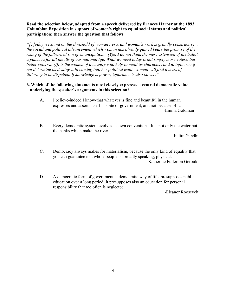**Read the selection below, adapted from a speech delivered by Frances Harper at the 1893 Columbian Exposition in support of women's right to equal social status and political participation; then answer the question that follows.** 

*"[T]oday we stand on the threshold of woman's era, and woman's work is grandly constructive... the social and political advancement which woman has already gained bears the promise of the rising of the full-orbed sun of emancipation....(Y)et I do not think the mere extension of the ballot a panacea for all the ills of our national life. What we need today is not simply more voters, but better voters… (I)t is the women of a country who help to mold its character, and to influence if not determine its destiny;...In coming into her political estate woman will find a mass of illiteracy to be dispelled. If knowledge is power, ignorance is also power."*

# **6. Which of the following statements most closely expresses a central democratic value underlying the speaker's arguments in this selection?**

- A. I believe-indeed I know-that whatever is fine and beautiful in the human expresses and asserts itself in spite of government, and not because of it. -Emma Goldman
- B. Every democratic system evolves its own conventions. It is not only the water but the banks which make the river.

-Indira Gandhi

- C. Democracy always makes for materialism, because the only kind of equality that you can guarantee to a whole people is, broadly speaking, physical. -Katherine Fullerton Gerould
- D. A democratic form of government, a democratic way of life, presupposes public education over a long period; it presupposes also an education for personal responsibility that too often is neglected.

-Eleanor Roosevelt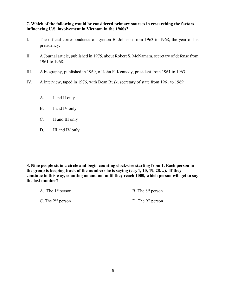# **7. Which of the following would be considered primary sources in researching the factors influencing U.S. involvement in Vietnam in the 1960s?**

- I. The official correspondence of Lyndon B. Johnson from 1963 to 1968, the year of his presidency.
- II. A Journal article, published in 1975, about Robert S. McNamara, secretary of defense from 1961 to 1968.
- III. A biography, published in 1969, of John F. Kennedy, president from 1961 to 1963
- IV. A interview, taped in 1976, with Dean Rusk, secretary of state from 1961 to 1969
	- A. I and II only
	- B. I and IV only
	- C. II and III only
	- D. III and IV only

**8. Nine people sit in a circle and begin counting clockwise starting from 1. Each person in the group is keeping track of the numbers he is saying (e.g. 1, 10, 19, 28…). If they continue in this way, counting on and on, until they reach 1000, which person will get to say the last number?**

- A. The  $1^{st}$  person B. The  $8^{th}$  person
- 

C. The  $2<sup>nd</sup>$  person D. The  $9<sup>th</sup>$  person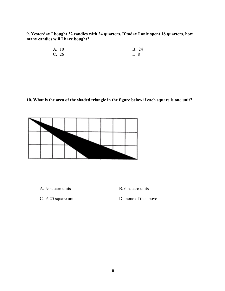**9. Yesterday I bought 32 candies with 24 quarters. If today I only spent 18 quarters, how many candies will I have bought?**

| A. 10 | B. 24 |
|-------|-------|
| C. 26 | D. 8  |

**10. What is the area of the shaded triangle in the figure below if each square is one unit?**



- A. 9 square units B. 6 square units
- 
- 
- C. 6.25 square units D. none of the above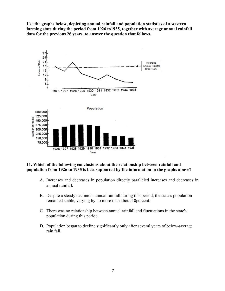**Use the graphs below, depicting annual rainfall and population statistics of a western farming state during the period from 1926 to1935, together with average annual rainfall data for the previous 26 years, to answer the question that follows.** 



# **11. Which of the following conclusions about the relationship between rainfall and population from 1926 to 1935 is best supported by the information in the graphs above?**

- A. Increases and decreases in population directly paralleled increases and decreases in annual rainfall.
- B. Despite a steady decline in annual rainfall during this period, the state's population remained stable, varying by no more than about 10percent.
- C. There was no relationship between annual rainfall and fluctuations in the state's population during this period.
- D. Population began to decline significantly only after several years of below-average rain fall.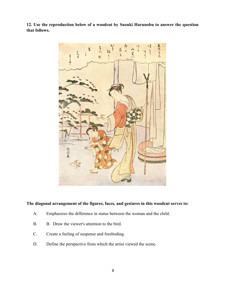**12. Use the reproduction below of a woodcut by Suzuki Harunobu to answer the question that follows.** 



# **The diagonal arrangement of the figures, faces, and gestures in this woodcut serves to:**

- A. Emphasizes the difference in status between the woman and the child.
- B. B. Draw the viewer's attention to the bird.
- C. Create a feeling of suspense and foreboding.
- D. Define the perspective from which the artist viewed the scene.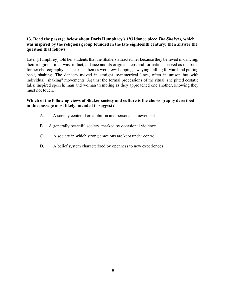# **13. Read the passage below about Doris Humphrey's 1931dance piece** *The Shakers,* **which was inspired by the religions group founded in the late eighteenth century; then answer the question that follows.**

Later [Humphrey] told her students that the Shakers attracted her because they believed in dancing; their religious ritual was, in fact, a dance and its original steps and formations served as the basis for her choreography.... The basic themes were few: hopping, swaying, falling forward and pulling back, shaking. The dancers moved in straight, symmetrical lines, often in unison but with individual "shaking" movements. Against the formal processions of the ritual, she pitted ecstatic falls; inspired speech; man and woman trembling as they approached one another, knowing they must not touch.

# **Which of the following views of Shaker society and culture is the choreography described in this passage most likely intended to suggest?**

- A. A society centered on ambition and personal achievement
- B. A generally peaceful society, marked by occasional violence
- C. A society in which strong emotions are kept under control
- D. A belief system characterized by openness to new experiences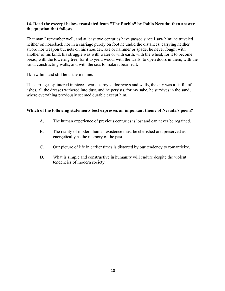# **14. Read the excerpt below, translated from "The Pueblo" by Pablo Neruda; then answer the question that follows.**

That man I remember well, and at least two centuries have passed since I saw him; he traveled neither on horseback nor in a carriage purely on foot he undid the distances, carrying neither sword nor weapon but nets on his shoulder, axe or hammer or spade; he never fought with another of his kind; his struggle was with water or with earth, with the wheat, for it to become bread, with the towering tree, for it to yield wood, with the walls, to open doors in them, with the sand, constructing walls, and with the sea, to make it bear fruit.

I knew him and still he is there in me.

The carriages splintered in pieces, war destroyed doorways and walls, the city was a fistful of ashes, all the dresses withered into dust, and he persists, for my sake, he survives in the sand, where everything previously seemed durable except him.

# **Which of the following statements best expresses an important theme of Neruda's poem?**

- A. The human experience of previous centuries is lost and can never be regained.
- B. The reality of modern human existence must be cherished and preserved as energetically as the memory of the past.
- C. Our picture of life in earlier times is distorted by our tendency to romanticize.
- D. What is simple and constructive in humanity will endure despite the violent tendencies of modern society.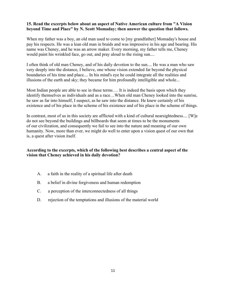# **15. Read the excerpts below about an aspect of Native American culture from "A Vision beyond Time and Place" by N. Scott Momaday; then answer the question that follows.**

When my father was a boy, an old man used to come to [my grandfather] Momaday's house and pay his respects. He was a lean old man in braids and was impressive in his age and bearing. His name was Cheney, and he was an arrow maker. Every morning, my father tells me, Cheney would paint his wrinkled face, go out, and pray aloud to the rising sun....

I often think of old man Cheney, and of his daily devotion to the sun.... He was a man who saw very deeply into the distance, I believe, one whose vision extended far beyond the physical boundaries of his time and place.... In his mind's eye he could integrate all the realities and illusions of the earth and sky; they became for him profoundly intelligible and whole...

Most Indian people are able to see in these terms…. It is indeed the basis upon which they identify themselves as individuals and as a race…When old man Cheney looked into the sunrise, he saw as far into himself, I suspect, as he saw into the distance. He knew certainly of his existence and of his place in the scheme of his existence and of his place in the scheme of things.

In contrast, most of us in this society are afflicted with a kind of cultural nearsightedness.... [W]e do not see beyond the buildings and billboards that seem at times to be the monuments of our civilization, and consequently we fail to see into the nature and meaning of our own humanity. Now, more than ever, we might do well to enter upon a vision quest of our own that is, a quest after vision itself.

# **According to the excerpts, which of the following best describes a central aspect of the vision that Cheney achieved in his daily devotion?**

- A. a faith in the reality of a spiritual life after death
- B. a belief in divine forgiveness and human redemption
- C. a perception of the interconnectedness of all things
- D. rejection of the temptations and illusions of the material world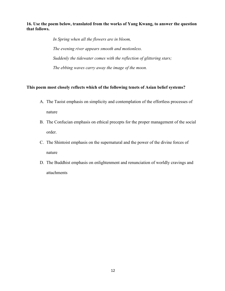# **16. Use the poem below, translated from the works of Yang Kwang, to answer the question that follows.**

*In Spring when all the flowers are in bloom, The evening river appears smooth and motionless. Suddenly the tidewater comes with the reflection of glittering stars; The ebbing waves carry away the image of the moon.*

# **This poem most closely reflects which of the following tenets of Asian belief systems?**

- A. The Taoist emphasis on simplicity and contemplation of the effortless processes of nature
- B. The Confucian emphasis on ethical precepts for the proper management of the social order.
- C. The Shintoist emphasis on the supernatural and the power of the divine forces of nature
- D. The Buddhist emphasis on enlightenment and renunciation of worldly cravings and attachments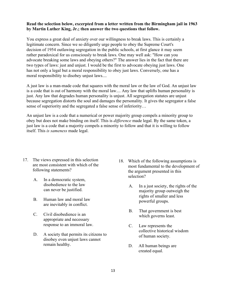# **Read the selection below, excerpted from a letter written from the Birmingham jail in 1963 by Martin Luther King, Jr.; then answer the two questions that follow.**

You express a great deal of anxiety over our willingness to break laws. This is certainly a legitimate concern. Since we so diligently urge people to obey the Supreme Court's decision of 1954 outlawing segregation in the public schools, at first glance it may seem rather paradoxical for us consciously to break laws. One may well ask: "How can you advocate breaking some laws and obeying others?" The answer lies in the fact that there are two types of laws: just and unjust. I would be the first to advocate obeying just laws. One has not only a legal but a moral responsibility to obey just laws. Conversely, one has a moral responsibility to disobey unjust laws....

A just law is a man-made code that squares with the moral law or the law of God. An unjust law is a code that is out of harmony with the moral law.... Any law that uplifts human personality is just. Any law that degrades human personality is unjust. All segregation statutes are unjust because segregation distorts the soul and damages the personality. It gives the segregator a false sense of superiority and the segregated a false sense of inferiority…

An unjust law is a code that a numerical or power majority group compels a minority group to obey but does not make binding on itself. This is *difference* made legal. By the same token, a just law is a code that a majority compels a minority to follow and that it is willing to follow itself. This *is sameness* made legal.

- 17. The views expressed in this selection are most consistent with which of the following statements?
	- A. In a democratic system, disobedience to the law can never be justified.
	- B. Human law and moral law are inevitably in conflict.
	- C. Civil disobedience is an appropriate and necessary response to an immoral law.
	- D. A society that permits its citizens to disobey even unjust laws cannot remain healthy.
- 18. Which of the following assumptions is most fundamental to the development of the argument presented in this selection?
	- A. In a just society, the rights of the majority group outweigh the rights of smaller and less powerful groups.
	- B. That government is best which governs least.
	- C. Law represents the collective historical wisdom of human society.
	- D. All human beings are created equal.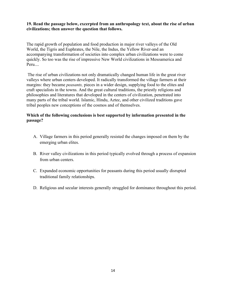# **19. Read the passage below, excerpted from an anthropology text, about the rise of urban civilizations; then answer the question that follows.**

The rapid growth of population and food production in major river valleys of the Old World, the Tigris and Euphrates, the Nile, the Indus, the Yellow River-and an accompanying transformation of societies into complex urban civilizations were to come quickly. So too was the rise of impressive New World civilizations in Mesoamerica and Peru....

The rise of urban civilizations not only dramatically changed human life in the great river valleys where urban centers developed. It radically transformed the village farmers at their margins: they became *peasants,* pieces in a wider design, supplying food to the elites and craft specialists in the towns. And the great cultural traditions, the priestly religions and philosophies and literatures that developed in the centers of civilization, penetrated into many parts of the tribal world. Islamic, Hindu, Aztec, and other civilized traditions gave tribal peoples new conceptions of the cosmos and of themselves.

# **Which of the following conclusions is best supported by information presented in the passage?**

- A. Village farmers in this period generally resisted the changes imposed on them by the emerging urban elites.
- B. River valley civilizations in this period typically evolved through a process of expansion from urban centers.
- C. Expanded economic opportunities for peasants during this period usually disrupted traditional family relationships.
- D. Religious and secular interests generally struggled for dominance throughout this period.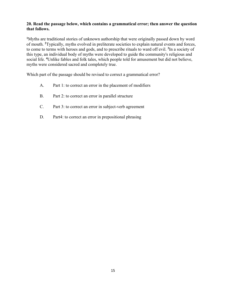# **20. Read the passage below, which contains a grammatical error; then answer the question that follows.**

<sup>1</sup>Myths are traditional stories of unknown authorship that were originally passed down by word of mouth. **<sup>2</sup>** Typically, myths evolved in preliterate societies to explain natural events and forces, to come to terms with heroes and gods, and to prescribe rituals to ward off evil. **<sup>3</sup>** In a society of this type, an individual body of myths were developed to guide the community's religious and social life. **<sup>4</sup>** Unlike fables and folk tales, which people told for amusement but did not believe, myths were considered sacred and completely true.

Which part of the passage should be revised to correct a grammatical error?

- A. Part 1: to correct an error in the placement of modifiers
- B. Part 2: to correct an error in parallel structure
- C. Part 3: to correct an error in subject-verb agreement
- D. Part4: to correct an error in prepositional phrasing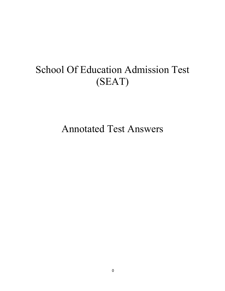# School Of Education Admission Test (SEAT)

Annotated Test Answers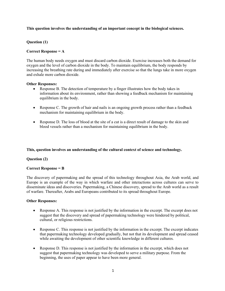#### **This question involves the understanding of an important concept in the biological sciences.**

#### **Question (1)**

#### **Correct Response = A**

The human body needs oxygen and must discard carbon dioxide. Exercise increases both the demand for oxygen and the level of carbon dioxide in the body. To maintain equilibrium, the body responds by increasing the breathing rate during and immediately after exercise so that the lungs take in more oxygen and exhale more carbon dioxide.

#### **Other Responses:**

- Response B. The detection of temperature by a finger illustrates how the body takes in information about its environment, rather than showing a feedback mechanism for maintaining equilibrium in the body.
- Response C. The growth of hair and nails is an ongoing growth process rather than a feedback mechanism for maintaining equilibrium in the body.
- Response D. The loss of blood at the site of a cut is a direct result of damage to the skin and blood vessels rather than a mechanism for maintaining equilibrium in the body.

#### **This, question involves an understanding of the cultural context of science and technology.**

#### **Question (2)**

#### **Correct Response = B**

The discovery of papermaking and the spread of this technology throughout Asia, the Arab world, and Europe is an example of the way in which warfare and other interactions across cultures can serve to disseminate ideas and discoveries. Papermaking, a Chinese discovery, spread to the Arab world as a result of warfare. Thereafter, Arabs and Europeans contributed to its spread throughout Europe.

#### **Other Responses:**

- Response A. This response is not justified by the information in the excerpt. The excerpt does not suggest that the discovery and spread of papermaking technology were hindered by political, cultural, or religious restrictions.
- Response C. This response is not justified by the information in the excerpt. The excerpt indicates that papermaking technology developed gradually, but not that its development and spread ceased while awaiting the development of other scientific knowledge in different cultures.
- Response D. This response is not justified by the information in the excerpt, which does not suggest that papermaking technology was developed to serve a military purpose. From the beginning, the uses of paper appear to have been more general.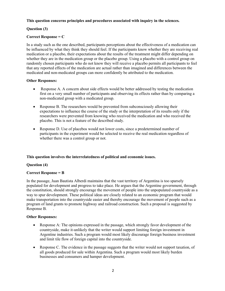#### **This question concerns principles and procedures associated with inquiry in the sciences.**

# **Question (3)**

# **Correct Response = C**

In a study such as the one described, participants perceptions about the effectiveness of a medication can be influenced by what they think they should feel. If the participants know whether they are receiving real medication or a placebo, their expectations about the results of the treatment might differ depending on whether they are in the medication group or the placebo group. Using a placebo with a control group on randomly chosen participants who do not know they will receive a placebo permits all participants to feel that any reported effects of the medication are actual rather than imagined and differences between the medicated and non-medicated groups can more confidently be attributed to the medication.

#### **Other Responses:**

- Response A. A concern about side effects would be better addressed by testing the medication first on a very small number of participants and observing its effects rather than by comparing a non-medicated group with a medicated group.
- Response B. The researchers would be prevented from subconsciously allowing their expectations to influence the course of the study or the interpretation of its results only if the researchers were prevented from knowing who received the medication and who received the placebo. This is not a feature of the described study.
- Response D. Use of placebos would not lower costs, since a predetermined number of participants in the experiment would be selected to receive the real medication regardless of whether there was a control group or not.

# **This question involves the interrelatedness of political and economic issues.**

#### **Question (4)**

# **Correct Response = B**

In the passage, Juan Bautista Alberdi maintains that the vast territory of Argentina is too sparsely populated for development and progress to take place. He argues that the Argentine government, through the constitution, should strongly encourage the movement of people into the unpopulated countryside as a way to spur development. These political ideas are closely related to an economic program that would make transportation into the countryside easier and thereby encourage the movement of people such as a program of land grants to promote highway and railroad construction. Such a proposal is suggested by Response B. .

#### **Other Responses:**

- Response A: The opinions expressed in the passage, which strongly favor development of the countryside, make it-unlikely that the writer would support limiting foreign investment in Argentine industries. Such a program would most likely discourage foreign business investment and limit tile flow of foreign capital into the countryside.
- Response C. The evidence in the passage suggests that the writer would not support taxation, of all goods produced for sale within Argentina. Such a program would most likely burden businesses and consumers and hamper development.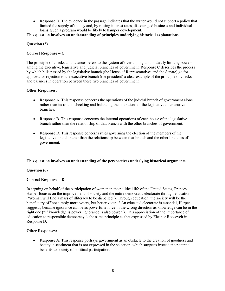• Response D. The evidence in the passage indicates that the writer would not support a policy that limited the supply of money and, by raising interest rates, discouraged business and individual loans. Such a program would be likely to hamper development.

### **This question involves an understanding of principles underlying historical explanations**.

#### **Question (5)**

#### **Correct Response = C**

The principle of checks and balances refers to the system of overlapping and mutually limiting powers among the executive, legislative and judicial branches of government. Response C describes the process by which bills passed by the legislative branch (the House of Representatives and the Senate) go for approval or rejection to the executive branch (the president) a clear example of the principle of checks and balances in operation between these two branches of government.

#### **Other Responses:**

- Response A. This response concerns the operations of the judicial branch of government alone rather than its role in checking and balancing the operations of the legislative of executive branches.
- Response B. This response concerns the internal operations of each house of the legislative branch rather than the relationship of that branch with the other branches of government.
- Response D. This response concerns rules governing the election of the members of the legislative branch rather than the relationship between that branch and the other branches of government.

#### **This question involves an understanding of the perspectives underlying historical arguments,**

#### **Question (6)**

#### **Correct Response = D**

In arguing on behalf of the participation of women in the political life of the United States, Frances Harper focuses on the improvement of society and the entire democratic electorate through education ("woman will find a mass of illiteracy to be dispelled"). Through education, the society will be the beneficiary of "not simply more voters, but better voters." An educated electorate is essential, Harper suggests, because ignorance can be as powerful a force in the wrong direction as knowledge can be in the right one ("If knowledge is power, ignorance is also power"). This appreciation of the importance of education to responsible democracy is the same principle as that expressed by Eleanor Roosevelt in Response D.

#### **Other Responses:**

• Response A. This response portrays government as an obstacle to the creation of goodness and beauty, a sentiment that is not expressed in the selection, which suggests instead the potential benefits to society of political participation.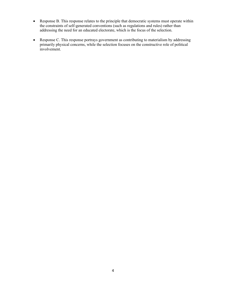- Response B. This response relates to the principle that democratic systems must operate within the constraints of self-generated conventions (such as regulations and rules) rather than addressing the need for an educated electorate, which is the focus of the selection.
- Response C. This response portrays government as contributing to materialism by addressing primarily physical concerns, while the selection focuses on the constructive role of political involvement.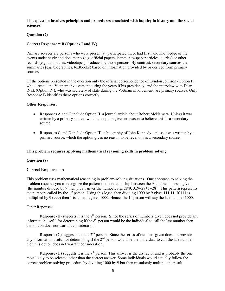**This question involves principles and procedures associated with inquiry in history and the social sciences:** 

#### **Question (7)**

### **Correct Response = B (Options I and IV)**

Primary sources are persons who were present at, participated in, or had firsthand knowledge of the events under study and documents (e.g. official papers, letters, newspaper articles, diaries) or other records (e.g. audiotapes, videotapes) produced by those persons. By contrast, secondary sources are summaries (e.g. biographies, textbooks) based on information provided by or derived from primary sources.

Of the options presented in the question only the official correspondence of Lyndon Johnson (Option I), who directed the Vietnam involvement during the years if his presidency, and the interview with Dean Rusk (Option IV), who was secretary of state during the Vietnam involvement, are primary sources. Only Response B identifies these options correctly.

#### **Other Responses:**

- Responses A and C include Option II, a journal article about Robert McNamara. Unless it was written by a primary source, which the option gives no reason to believe, this is a secondary source.
- Responses C and D include Option III, a biography of John Kennedy, unless it was written by a primary source, which the option gives no reason to believe, this is a secondary source.

#### **This problem requires applying mathematical reasoning skills in problem solving**.

#### **Question (8)**

#### **Correct Response = A**

This problem uses mathematical reasoning in problem-solving situations. One approach to solving the problem requires you to recognize the pattern in the relationship between the 9 and the numbers given (the number divided by 9 then plus 1 gives the number, e.g.  $28/9$ ;  $3x9=27+1=28$ ). This pattern represents the numbers called by the  $1<sup>st</sup>$  person. Using this logic, then dividing 1000 by 9 gives 111.11. If 111 is multiplied by 9 (999) then 1 is added it gives 1000. Hence, the 1<sup>st</sup> person will say the last number 1000.

#### Other Reponses:

Response (B) suggests it is the  $8<sup>th</sup>$  person. Since the series of numbers given does not provide any information useful for determining if the  $8<sup>th</sup>$  person would be the individual to call the last number then this option does not warrant consideration.

Response (C) suggests it is the  $2<sup>nd</sup>$  person. Since the series of numbers given does not provide any information useful for determining if the 2<sup>nd</sup> person would be the individual to call the last number then this option does not warrant consideration.

Response (D) suggests it is the  $9<sup>th</sup>$  person. This answer is the distractor and is probably the one most likely to be selected other than the correct answer. Some individuals would actually follow the correct problem solving procedure by dividing 1000 by 9 but then mistakenly multiple the result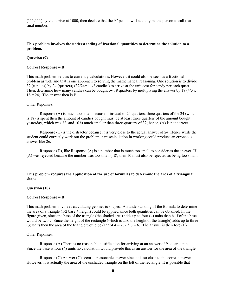(111.111) by 9 to arrive at 1000, then declare that the 9<sup>th</sup> person will actually be the person to call that final number.

#### **This problem involves the understanding of fractional quantities to determine the solution to a problem.**

#### **Question (9)**

#### **Correct Response = B**

This math problem relates to currently calculations. However, it could also be seen as a fractional problem as well and that is one approach to solving the mathematical reasoning. One solution is to divide 32 (candies) by 24 (quarters) (32/24=1 1/3 candies) to arrive at the unit cost for candy per each quart. Then, determine how many candies can be bought by 18 quarters by multiplying the answer by 18  $(4/3 \times$  $18 = 24$ ). The answer then is B.

#### Other Reponses:

Response (A) is much too small because if instead of 24 quarters, three quarters of the 24 (which is 18) is spent then the amount of candies bought must be at least three quarters of the amount bought yesterday, which was 32, and 10 is much smaller than three-quarters of 32; hence, (A) is not correct.

Response (C) is the distractor because it is very close to the actual answer of 24. Hence while the student could correctly work out the problem, a miscalculation in working could produce an erroneous answer like 26.

Response (D), like Response (A) is a number that is much too small to consider as the answer. If (A) was rejected because the number was too small (18), then 10 must also be rejected as being too small.

#### **This problem requires the application of the use of formulas to determine the area of a triangular shape.**

#### **Question (10)**

#### **Correct Response = B**

This math problem involves calculating geometric shapes. An understanding of the formula to determine the area of a triangle (1/2 base \* height) could be applied since both quantities can be obtained. In the figure given, since the base of the triangle (the shaded area) adds up to four (4) units than half of the base would be two 2. Since the height of the rectangle (which is also the height of the triangle) adds up to three (3) units then the area of the triangle would be (1/2 of  $4 = 2$ ,  $2 * 3 = 6$ ). The answer is therefore (B).

#### Other Reponses:

Response (A) There is no reasonable justification for arriving at an answer of 9 square units. Since the base is four (4) units no calculation would provide this as an answer for the area of the triangle.

Response (C) Answer (C) seems a reasonable answer since it is so close to the correct answer. However, it is actually the area of the unshaded triangle on the left of the rectangle. It is possible that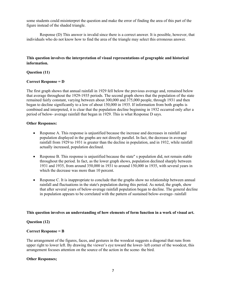some students could misinterpret the question and make the error of finding the area of this part of the figure instead of the shaded triangle.

Response (D) This answer is invalid since there is a correct answer. It is possible, however, that individuals who do not know how to find the area of the triangle may select this erroneous answer.

#### **This question involves the interpretation of visual representations of geographic and historical information.**

#### **Question (11)**

#### **Correct Response = D**

The first graph shows that annual rainfall in 1929 fell below the previous average and, remained below that average throughout the 1929-1935 periods. The second graph shows that the population of the state remained fairly constant, varying between about 300,000 and 375,000 people, through 1931 and then began to decline significantly to a low of about 150,000 in 1935. If information from both graphs is combined and interpreted, it is clear that the population decline beginning in 1932 occurred only after a period of below- average rainfall that began in 1929. This is what Response D says.

#### **Other Responses:**

- Response A. This response is unjustified because the increase and decreases in rainfall and population displayed in the graphs are not directly parallel. In fact, the decrease in average rainfall from 1929 to 1931 is greater than the decline in population, and in 1932, while rainfall actually increased, population declined.
- Response B. This response is unjustified because the state" s population did, not remain stable throughout the period. In fact, as the lower graph shows, population declined sharply between 1931 and 1935, from around 350,000 in 1931 to around 150,000 in 1935, with several years in which the decrease was more than 10 percent.
- Response C. It is inappropriate to conclude that the graphs show no relationship between annual rainfall and fluctuations in the state's population during this period. As noted, the graph, show that after several years of below-average rainfall population began to decline. The general decline in population appears to be correlated with the pattern of sustained below-average- rainfall

#### **This question involves an understanding of how elements of form function in a work of visual art.**

#### **Question (12)**

#### **Correct Response = B**

The arrangement of the figures, faces, and gestures in the woodcut suggests a diagonal that runs from upper right to lower left. By drawing the viewer's eye toward the lower- left corner of the woodcut, this arrangement focuses attention on the source of the action in the scene- the bird.

#### **Other Responses;**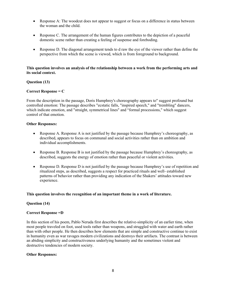- Response A: The woodcut does not appear to suggest or focus on a difference in status between the woman and the child.
- Response C. The arrangement of the human figures contributes to the depiction of a peaceful domestic scene rather than creating a feeling of suspense and foreboding.
- Response D. The diagonal arrangement tends to d raw the eye of the viewer rather than define the perspective from which the scene is viewed, which is from foreground to background.

#### **This question involves an analysis of the relationship between a work from the performing arts and its social context.**

#### **Question (13)**

#### **Correct Response = C**

From the description in the passage, Doris Humphrey's choreography appears to" suggest profound but controlled emotion: The passage describes "ecstatic falls, "inspired speech," and "trembling" dancers, which indicate emotion, and "straight, symmetrical lines" and "formal processions," which suggest control of that emotion.

#### **Other Responses:**

- Response A. Response A is not justified by the passage because Humphrey's choreography, as described, appears to focus on communal and social activities rather than on ambition and individual accomplishments.
- Response B. Response B is not justified by the passage because Humphrey's choreography, as described, suggests the energy of emotion rather than peaceful or violent activities.
- Response D. Response D is not justified by the passage because Humphrey's use of repetition and ritualized steps, as described, suggests a respect for practiced rituals and well- established patterns of behavior rather than providing any indication of the Shakers' attitudes toward new experience.

#### **This question involves the recognition of an important theme in a work of literature.**

#### **Question (14)**

#### **Correct Response =D**

In this section of his poem, Pablo Neruda first describes the relative-simplicity of an earlier time, when most people traveled on foot, used tools rather than weapons, and struggled with water and earth rather than with other people. He then describes how elements that are simple and constructive continue to exist in humanity even as war ravages modern civilizations and destroys their artifacts. The contrast is between an abiding simplicity and constructiveness underlying humanity and the sometimes violent and destructive tendencies of modern society.

#### **Other Responses:**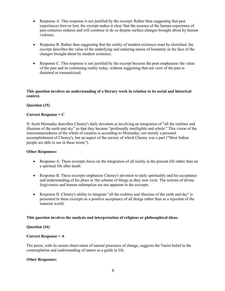- Response A. This response is not justified by the excerpt; Rather than suggesting that past experiences forever lost; the excerpt makes it clear 'that the essence of the human experience of past centuries endures and will continue to do so despite surface changes brought about by human violence.
- Response B. Rather than suggesting that the reality of modern existence must be cherished, the excerpt describes the value of the underlying and enduring nature of humanity in the face of the changes brought about by modern existence.
- Response C. This response is not justified by the excerpt because the poet emphasizes the value of the past and its continuing reality today, without suggesting that our view of the past is distorted or romanticized.

### **This question involves an understanding of a literary work in relation to its social and historical context.**

#### **Question (15)**

#### **Correct Response = C**

N. Scott Momaday describes Cheney's daily devotion as involving an integration of "all the realities and illusions of the earth and sky" so that they became "profoundly intelligible and whole." This vision of the interconnectedness of the whole of creation is according to Mornaday, not merely a personal accomplishment of Cheney's, but an aspect of the society of which Cheney was a part ("Most Indian people are able to see in these terms").

#### **Other Responses:**

- Response A. These excerpts focus on the integration of all reality in the present life rather than on a spiritual life after death.
- Response B. These excerpts emphasize Cheney's devotion to daily spirituality and his acceptance and understanding of his place in 'the scheme of things as they now exist. The notions of divine forgiveness and human redemption are not apparent in the excerpts.
- Response D. Cheney's ability to integrate "all the realities and illusions of the earth and sky" is presented in these excerpts as a positive acceptance of all things rather than as a rejection of the material world.

#### **This question involves the analysis and interpretation of religious or philosophical ideas.**

#### **Question (16)**

#### **Correct Response = A**

The poem, with its serene observation of natural processes of change, suggests the Taoist belief in the contemplation and understanding of nature as a guide to life.

#### **Other Responses:**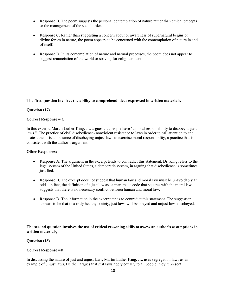- Response B. The poem suggests the personal contemplation of nature rather than ethical precepts or the management of the social order.
- Response C. Rather than suggesting a concern about or awareness of supernatural begins or divine forces in nature, the poem appears to be concerned with the contemplation of nature in and of itself.
- Response D. In its contemplation of nature and natural processes, the poem does not appear to suggest renunciation of the world or striving for enlightenment.

#### **The first question involves the ability to comprehend ideas expressed in written materials.**

#### **Question (17)**

#### **Correct Response = C**

In this excerpt, Martin Luther-King, Jr., argues that people have "a moral responsibility to disobey unjust laws." The practice of civil disobedience- nonviolent resistance to laws in order to call attention to and protest them- is an instance of disobeying unjust laws to exercise moral responsibility, a practice that is consistent with the author's argument.

#### **Other Responses:**

- Response A. The argument in the excerpt tends to contradict this statement. Dr. King refers to the legal system of the United States, a democratic system, in arguing that disobedience is sometimes justified.
- Response B. The excerpt does not suggest that human law and moral law must be unavoidably at odds; in fact, the definition of a just law as "a man-made code that squares with the moral law" suggests that there is no necessary conflict between human and moral law.
- Response D. The information in the excerpt tends to contradict this statement. The suggestion appears to be that in a truly healthy society, just laws will be obeyed and unjust laws disobeyed.

**The second question involves the use of critical reasoning skills to assess an author's assumptions in written materials,** 

#### **Question (18)**

#### **Correct Response =D**

In discussing the nature of just and unjust laws, Martin Luther King, Jr., uses segregation laws as an example of unjust laws, He then argues that just laws apply equally to all people; they represent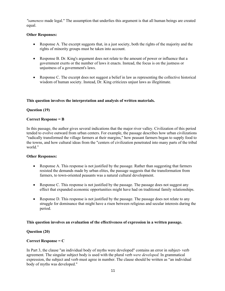*"sameness* made legal." The assumption that underlies this argument is that all human beings are created equal.

#### **Other Responses:**

- Response A. The excerpt suggests that, in a just society, both the rights of the majority and the rights of minority groups must be taken into account.
- Response B. Dr. King's argument does not relate to the amount of power or influence that a government exerts or the number of laws it enacts. Instead, the focus is on the justness or unjustness of a government's laws.
- Response C. The excerpt does not suggest a belief in law as representing the collective historical wisdom of human society. Instead, Dr. King criticizes unjust laws as illegitimate.

#### **This question involves the interpretation and analysis of written materials.**

#### **Question (19)**

#### **Correct Response = B**

In this passage, the author gives several indications that the major river valley. Civilization of this period tended to evolve outward from urban centers. For example, the passage describes how urban civilizations "radically transformed the village farmers at their margins," how peasant farmers began to supply food to the towns, and how cultural ideas from the "centers of civilization penetrated into many parts of the tribal world."

#### **Other Responses:**

- Response A. This response is not justified by the passage. Rather than suggesting that farmers resisted the demands made by urban elites, the passage suggests that the transformation from farmers, to town-oriented peasants was a natural cultural development.
- Response C. This response is not justified by the passage. The passage does not suggest any effect that expanded economic opportunities might have had on traditional family relationships.
- Response D. This response is not justified by the passage. The passage does not relate to any struggle for dominance that might have a risen between religious and secular interests during the period.

#### **This question involves an evaluation of the effectiveness of expression in a written passage.**

#### **Question (20)**

#### **Correct Response = C**

In Part 3, the clause "an individual body of myths were developed" contains an error in subject- verb agreement. The singular subject body is used with the plural verb *were developed.* In grammatical expression, the subject and verb must agree in number. The clause should be written as "an individual body of myths was developed."